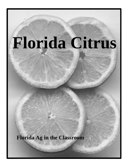# **Florida Citrus**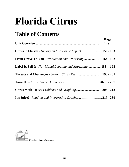# **Florida Citrus**

# **Table of Contents**

|                                                                 | Page<br><b>149</b> |
|-----------------------------------------------------------------|--------------------|
|                                                                 |                    |
|                                                                 |                    |
| Label It, Sell It - Nutritional Labeling and Marketing183 - 192 |                    |
|                                                                 |                    |
|                                                                 |                    |
|                                                                 |                    |
| It's Juice! - Reading and Interpreting Graphs219 - 230          |                    |

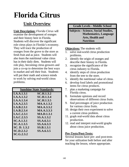# **Florida Citrus**

### **Unit Overview**

**Unit Description:** *Florida Citrus* will examine the development of oranges and their history here in Florida. Students will discover the significant role citrus plays in Florida's economy. They will trace the production of oranges from the grove to the store as fresh fruit and as juice. Students will also learn the nutritional value citrus has in their daily diets. Students will role play, becoming citrus growers and join a co-op to determine the best ways to market and sell their fruit. Students will put their math and science minds to work by solving real-world citrus problems.

|                   | <b>Sunshine State Standards:</b> |
|-------------------|----------------------------------|
| LA.A.1.3.1        | <b>SC.H.1.3.2</b>                |
| LA.A.1.3.2        | <b>SC.H.1.3.4</b>                |
| LA.A.1.3.4        | <b>SC.H.1.3.5</b>                |
| LA.A.2.3.5        | <b>MA.A.1.3.2</b>                |
| LA.B.2.3.1        | <b>MA.A.3.3.2</b>                |
| LA.B.2.3.4        | <b>MA.A.3.3.3</b>                |
| LA.C.2.3.1        | <b>MA.D.1.3.1</b>                |
| LA.C.2.3.5        | SS.A.1.3.2                       |
| <b>SC.A.1.3.1</b> | SS.A.6.3.1                       |
| <b>SC.A.1.3.5</b> | SS.A.6.3.3                       |
| SC. D. 1.3.2      | <b>SS.B.1.3.1</b>                |
| <b>SC.D.2.3.2</b> | SS.A.6.3.5                       |
| <b>SC.G.2.3.2</b> |                                  |
|                   |                                  |

#### **Grade Levels - Middle School**

**Subjects - Science, Social Studies, Mathematics, Language Arts, Health and Nutrition**

#### **Objectives:** The students will:

- 1. solve real-world citrus production problems.
- 2. identify the origin of oranges and describe their history in Florida.
- 3. recognize the significance of the citrus industry to Florida.
- 4. identify steps of citrus production from the tree to the store.
- 5. identify the nutritional value of citrus.
- 6. develop food labels and promotional items for citrus products.
- 7. plan a marketing campaign for Florida citrus.
- 8. formulate opinions and record observations of different citrus fruits.
- 9. find percentages of juice production for various citrus fruits.
- 10. design their own experiment to solve a current citrus problem.
- 11. graph real-world data about citrus production.
- 12. read and interpret real-world graphs about citrus juice production.

#### **Pre-Tests/Post-Tests:**

Several lessons have pre- and post-tests for your utilization both before and after teaching the lesson, where appropriate.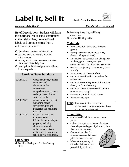# Label It, Sell It **Florida Ag in the Classroom**



#### *Language Arts, Health**Florida Citrus - Lesson #3*

**Brief Description:** Students will learn the nutritional value citrus contributes to their daily diets, use nutritional labels and promote citrus from a nutritional perspective.

#### **Objectives:** Students will be able to:

- $\bullet$  use food labels to learn the nutritional value of citrus.
- $\Theta$  identify and describe the nutritional value citrus has in their daily diets.
- $\bullet$  develop food labels and promotional items for citrus products.

#### **Sunshine State Standards:**

| LA.B.2.3.1  | writes text, notes, outlines,<br>comments and<br>observations that<br>demonstrate<br>comprehension of content<br>and experiences from a                                                                       |
|-------------|---------------------------------------------------------------------------------------------------------------------------------------------------------------------------------------------------------------|
| LA.C.2.3.1  | variety of media.<br>determines main concept,<br>supporting details,<br>stereotypes, bias and<br>persuasion in a non-print<br>message.                                                                        |
| LA.C.2.3.5. | locates, organizes and<br>interprets written<br>information for a variety of<br>purposes, including<br>classroom research,<br>collaborative decision<br>making and performing a<br>school or real-world task. |

#### **Life Skills:**

**O** Decision Making and Problem Solving Skills

- <sup>2</sup> Acquiring, Analyzing, and Using Information
- **<sup>6</sup>** Creative Thinking Skills

#### **Materials:**

- food labels from citrus juice (one per group)
- citrus juice containers (various sizes, shapes and types of juice)
- art supplies (construction and plain paper, markers, glue, scissors, etc...) or computers with graphics capable software
- overhead projector (if transparency sheet is used)
- transparency of *Citrus Labels*
- copies of *Label Talk* activity sheet for each student
- copies of *Promoting Your Juice* activity sheet (one for each co-op)
- copies of *Citrus Commercial Outline* (one for each co-op)
- cassette player with record button
- blank cassette tapes

**Time:** four, 45 minute class periods a class period for group presentations a homework assignment

#### **Preparation:**

- Gather food labels from various citrus juices.
- Collect citrus juice containers of various sizes, shapes and types of juice and place them around the room.
- Gather art supplies for students to create their own juice container and label.
- Make a transparency of citrus labels (from master provided if you do not

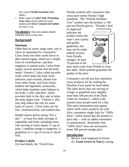have actual *Florida Sunshine Tree* labels.)

• Make copies of *Label Talk*, *Promoting Your Juice* activity sheets for each student and *Citrus Commercial Outline* for each co-op.

**Vocabulary:** Have the students identify unfamiliar terms as they arise.

#### **Background:**

#### **Nutrients**

Other than its sweet, tangy taste, why is citrus so important for consumers? Citrus fruits owe their sweet flavor to their natural sugars, which are a simple form of *carbohydrate,* and their tanginess to natural acids*.* Citrus fruits supply several nutrients that the body needs: *Vitamin C* (also called ascorbic acid), which helps the body resist infection, heal wounds, absorb iron from other foods, and form bones, tendons and ligaments; *potassium*, which helps maintain water balance in the body's cells; and *fiber*, which provides bulk to the diet, and so helps the body digest food. Vitamin C also may help reduce the risk for some types of cancer. Citrus fruits are fatfree, cholesterol-free, and sodium-free.

Health experts advise eating "five a day" -- at least five daily servings of vegetables and fruits, including citrus. One serving of citrus equals ¾ cup of juice, 1 medium orange or tangerine, ½ grapefruit or ½ cup of cut-up or sliced fruit.

#### **Product Labels**

On food labels, the "Fresh From

Florida symbols tells consumers that citrus juice meets Florida's high standards. The "Florida Sunshine Tree" symbol says the product is 100 percent Florida grown. "Florida's Seal

of Approval" indicates the product meets the state's strict purity and quality guidelines, but may not be made entirely of juice from Florida oranges. At least 70 percent of the



juice must come from Florida to wear this label. Both symbols guarantee the quality of the juice.

Consumers can tell just how nutritious citrus products are by reading the Nutrition Facts panel on food labels. The label shows that one serving of orange or grapefruit juice supplies more than 100 percent of the Daily Value for Vitamin C, which is the amount most people need for a day. This same information may appear where fresh citrus products are sold. Also, consumers might look for "100% Juice," which means that the product is juice only -- with no added sweeteners or preservatives. Remember that "100% Juice" does not necessarily mean 100 percent orange juice.

#### **Introduction:**

1. Review what happened in lesson #2, **From Grove to You** by saying: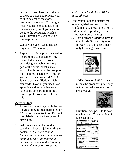As a co-op you have learned how to pick, package and process your fruit to be sent to the store, restaurant, or school. That might be all you have to do to get it on the store shelf, but if you want to get it to the consumer, which is your ultimate goal, you must go one step further.

Can anyone guess what that step might be? (*Promotion!)*

2. Explain that citrus products need to be promoted so consumers buy them. Individuals who work in the advertising and public relations part of the citrus industry may work directly for you, the co-op, or may be hired separately. Thus far, your co-op has produced "100% Juice" that meets Florida's high standards. Now all you need is an appealing and informative juice label and some promotion. It's time to get to work and sell your juice!

#### **Activity One:**

- 1. Instruct students to get with the coop group they formed during lesson #2, **From Grove to You**. Pass out food labels from various types of citrus juice.
- 2. Ask students what the food label tells them about the juice inside the container. *(Answers should include: brand name, amount in the container, nutrition information per serving, name and address of the manufacturer or processor,*

*made from Florida fruit, 100% juice, others.)* 

- 3. Briefly point out and discuss the following label features: (Note: If you do not have these labels from a carton or citrus product, use the citrus label transparency.)
	- *A. The Florida Sunshine Tree* is the Florida Grower's Symbol. It means that the juice contains only Florida grown citrus.



B. *100% Pure* **or** *100% Juice* means the product is juice only, with no added sweeteners or preservatives.



C. Nutrition Facts panel tells how much vitamin C one serving of juice supplies.

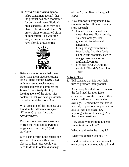D. *Fresh from Florida* symbol helps consumers identify that the product has been monitored for purity and meets Florida's high standards. Juice may be a blend of Florida and other U.S grown citrus or imported citrus or concentrate. To wear the seal, it must contain at least 70% Florida grown citrus.



4. Before students create their own label, have them practice reading labels. Hand out the *Label Talk* activity sheet to each student. Instruct students to complete the *Label Talk* activity sheet by looking at one of the citrus juice containers that you have previously placed around the room. Ask:

> What are some of the nutrients you found in the different citrus juices? *(Vitamin C, potassium, and carbohydrates)*

Do you know how many servings of fruit the Food Guide Pyramid suggests we need daily? *(2-4 servings)*

¾ of a cup of fruit juice equals one serving. How many 8-ounce glasses of fruit juice would you need to drink to obtain 4 servings

of fruit? (Hint: 8 oz. = 1 cup) *(3 cups)*

- 5. As a homework assignment, have students do the following grocery store research:
	- A. List all the varieties of fresh citrus they see. For example, Valencia oranges, Red grapefruit, tangelos and tangerines.
	- B. Using the ingredient lists on food labels, find five foods using citrus products, such as orange marmalade -- not artificial flavorings.
	- C. Find five products with the symbol: "Florida's Sunshine Tree."

#### **Activity Two:**

1. Tell students that it is now their turn to promote their product.

> As a co-op it is their job to develop the food label for their juice container. Have them pretend they want to sell juice to people their own age. Remind them that this is not only to promote the product but also to meet the federal law requiring nutritional labeling. Ask them these questions:

How could you promote juice to students at our school?

What would make them buy it?

What would make you buy it?

2. Hand out art supplies and instruct each co-op to come up with a brand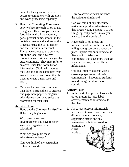name for their juice or provide access to computers with graphics and word processing capability.

- 3. Hand out *Promoting Your Juice* activity sheet for each co-op to use as a guide. Have co-ops create a food label with all the necessary parts: product name, amount in the container, name and address of the processor (use the co-op name), and the Nutrition Facts panel. Encourage co-ops to use creative art on the label and a catchy product name to attract their youthaged customers. They may refer to an actual juice label for nutrition information. (Optional: students may use one of the containers from around the room and cover it with paper to create a new look and label.)
- 4. Once each co-op has completed their label, instruct them to create a one-page newspaper or magazine advertisement designed strictly as promotion for their juice.

#### **Activity Three:**

1. Hand out the *Commercial Outline*. Before they begin, ask:

What are some citrus advertisements you have recently seen in a magazine or on television?

What age group did these advertisements target?

Can you think of any persuasion techniques used?

How do advertisements influence the agricultural industry?

Can you think of any other new agricultural product advertisement that targets young people? (TG Lee Chug Jug) Why does it make you want to buy the product?

2. Have each co-op create an infomercial of one to three minutes, telling young consumers about the juice. Explain that an infomercial is like a radio or television commercial that does more than get someone to buy; it also offers information.

Optional: supply students with a cassette player to record their commercials. Encourage students to add background music or sounds.

#### **Activity Four:**

- 1. In the next class period, have each co-op present its juice label, advertisement and infomercial to the class.
- 2. As co-ops present infomercial; have students write down and then discuss the main concept, supporting details and any persuasion techniques used to

promote the citrus product.

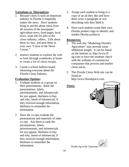#### **Variations or Alternatives:**

- 1. Because citrus is such an important industry in Florida it frequently makes the news. Have students bring in articles about citrus from all sections of the newspaper: agriculture news, food pages, local news, want ads for jobs in the citrus industry, others. Talk about them in class, and post them in your own "Citrus in the News Corner."
- 2. Instruct students to explore the web or look through cookbooks at home to create a list of citrus recipes.
- 3. Create a school bulletin board informing everyone about the Florida Citrus Industry.

#### **Evaluation Options:**

- 1. Evaluate students as a group on their presentations. Rank the presentations, labels, advertisements, and infomercials for eye appeal, likeliness to buy and why, intent of infomercial, if they received enough information, likeliness to remember the information.
- 2. Have the co-ops evaluate the presentations and materials of other co-ops. Ask them to rank the presentations, labels, advertisements, and infomercials for eye appeal, likeliness to buy and why, intent of infomercial, if they received enough information, likeliness to remember the information.
- 3. Assign each student to bring in a copy of an ad they like and have them write a paragraph or two describing why they liked it.
- 4. Have each student create their own Florida product logo to identify and market Florida products.

#### **Resources:**

- 1. The web site "Marketing Florida's Agriculture" may provide some additional insight. It can be found on the Internet at: http://www.flag.com or have the students check with the websites of commercial companies that process and market citrus juices.
- 2. The Florida Citrus Web site can be found at: http://www.floridajuice.com.

#### **Notes:**



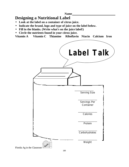**Name** 

### **Designing a Nutritional Label**

- **Look at the label on a container of citrus juice.**
- **Indicate the brand, logo and type of juice on the label below.**
- **Fill in the blanks. (Write what's on the juice label!)**
- **Circle the nutrients found in your citrus juice.**

**Vitamin A Vitamin C Thiamine Riboflavin Niacin Calcium Iron**

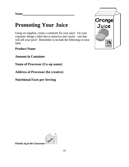## **Promoting Your Juice**

Using art supplies, create a container for your juice. On your container design a label that is attractive and catchy - one that will sell your juice! Remember to include the following on your label:

**Product Name**

**Amount in Container**

**Name of Processor (Co-op name)**

**Address of Processor (be creative)**

**Nutritional Facts per Serving**



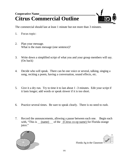### **Cooperative Name Citrus Commercial Outline**



The commercial should last at least 1 minute but not more than 3 minutes.

- 1. Focus topic:
- 2. Plan your message. What is the main message (one sentence)?
- 3. Write down a simplified script of what you and your group members will say. (On back)
- 4. Decide who will speak. There can be one voice or several, talking, singing a song, reciting a poem, having a conversation, sound effects, etc.
- 5. Give it a dry run. Try to time it to last about 1 -3 minutes. Edit your script if it lasts longer; add words or speak slower if it is too short.
- 6. Practice several times. Be sure to speak clearly. There is no need to rush.
- 7. Record the announcements, allowing a pause between each one. Begin each with, "This is (name) of the (Citrus co-op name) for Florida orange juice."